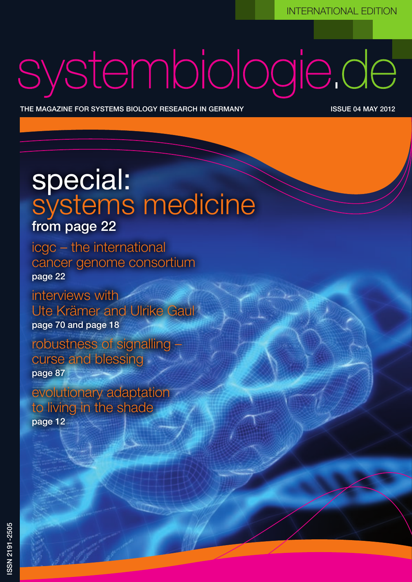# systembiologie.de

ww.systembiologie.de Blindrubrik Dies ist eine prototypische Blindiduberschrift 1980 von der Blindüberschrift

The magazine for systems Biology Research in Germany issue 04 may 2012

### special: systems medicine from page 22

icgc – the international cancer genome consortium page 22

interviews with Ute Krämer and Ulrike Gaul page 70 and page 18

robustness of signalling – curse and blessing page 87

evolutionary adaptation to living in the shade page 12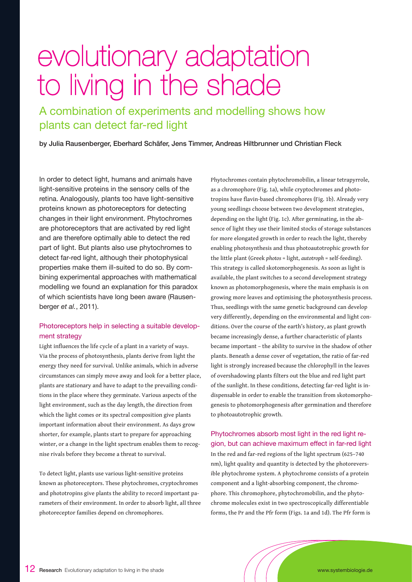## evolutionary adaptation to living in the shade

A combination of experiments and modelling shows how plants can detect far-red light

by Julia Rausenberger, Eberhard Schäfer, Jens Timmer, Andreas Hiltbrunner und Christian Fleck

In order to detect light, humans and animals have light-sensitive proteins in the sensory cells of the retina. Analogously, plants too have light-sensitive proteins known as photoreceptors for detecting changes in their light environment. Phytochromes are photoreceptors that are activated by red light and are therefore optimally able to detect the red part of light. But plants also use phytochromes to detect far-red light, although their photophysical properties make them ill-suited to do so. By combining experimental approaches with mathematical modelling we found an explanation for this paradox of which scientists have long been aware (Rausenberger *et al.*, 2011).

#### Photoreceptors help in selecting a suitable development strategy

Light influences the life cycle of a plant in a variety of ways. Via the process of photosynthesis, plants derive from light the energy they need for survival. Unlike animals, which in adverse circumstances can simply move away and look for a better place, plants are stationary and have to adapt to the prevailing conditions in the place where they germinate. Various aspects of the light environment, such as the day length, the direction from which the light comes or its spectral composition give plants important information about their environment. As days grow shorter, for example, plants start to prepare for approaching winter, or a change in the light spectrum enables them to recognise rivals before they become a threat to survival.

To detect light, plants use various light-sensitive proteins known as photoreceptors. These phytochromes, cryptochromes and phototropins give plants the ability to record important parameters of their environment. In order to absorb light, all three photoreceptor families depend on chromophores.

Phytochromes contain phytochromobilin, a linear tetrapyrrole, as a chromophore (Fig. 1a), while cryptochromes and phototropins have flavin-based chromophores (Fig. 1b). Already very young seedlings choose between two development strategies, depending on the light (Fig. 1c). After germinating, in the absence of light they use their limited stocks of storage substances for more elongated growth in order to reach the light, thereby enabling photosynthesis and thus photoautotrophic growth for the little plant (Greek *photos* = light, *autotroph* = self-feeding). This strategy is called skotomorphogenesis. As soon as light is available, the plant switches to a second development strategy known as photomorphogenesis, where the main emphasis is on growing more leaves and optimising the photosynthesis process. Thus, seedlings with the same genetic background can develop very differently, depending on the environmental and light conditions. Over the course of the earth's history, as plant growth became increasingly dense, a further characteristic of plants became important – the ability to survive in the shadow of other plants. Beneath a dense cover of vegetation, the ratio of far-red light is strongly increased because the chlorophyll in the leaves of overshadowing plants filters out the blue and red light part of the sunlight. In these conditions, detecting far-red light is indispensable in order to enable the transition from skotomorphogenesis to photomorphogenesis after germination and therefore to photoautotrophic growth.

Phytochromes absorb most light in the red light region, but can achieve maximum effect in far-red light In the red and far-red regions of the light spectrum (625–740 nm), light quality and quantity is detected by the photoreversible phytochrome system. A phytochrome consists of a protein component and a light-absorbing component, the chromophore. This chromophore, phytochromobilin, and the phytochrome molecules exist in two spectroscopically differentiable forms, the Pr and the Pfr form (Figs. 1a and 1d). The Pfr form is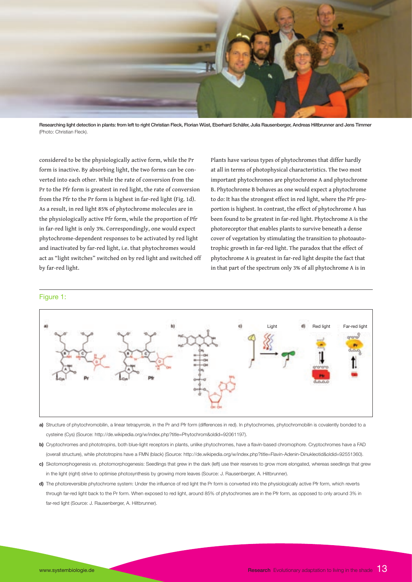

Researching light detection in plants: from left to right Christian Fleck, Florian Wüst, Eberhard Schäfer, Julia Rausenberger, Andreas Hiltbrunner and Jens Timmer (Photo: Christian Fleck).

considered to be the physiologically active form, while the Pr form is inactive. By absorbing light, the two forms can be converted into each other. While the rate of conversion from the Pr to the Pfr form is greatest in red light, the rate of conversion from the Pfr to the Pr form is highest in far-red light (Fig. 1d). As a result, in red light 85% of phytochrome molecules are in the physiologically active Pfr form, while the proportion of Pfr in far-red light is only 3%. Correspondingly, one would expect phytochrome-dependent responses to be activated by red light and inactivated by far-red light, i.e. that phytochromes would act as "light switches" switched on by red light and switched off by far-red light.

Plants have various types of phytochromes that differ hardly at all in terms of photophysical characteristics. The two most important phytochromes are phytochrome A and phytochrome B. Phytochrome B behaves as one would expect a phytochrome to do: It has the strongest effect in red light, where the Pfr proportion is highest. In contrast, the effect of phytochrome A has been found to be greatest in far-red light. Phytochrome A is the photoreceptor that enables plants to survive beneath a dense cover of vegetation by stimulating the transition to photoautotrophic growth in far-red light. The paradox that the effect of phytochrome A is greatest in far-red light despite the fact that in that part of the spectrum only 3% of all phytochrome A is in



#### Figure 1:

- **a)** Structure of phytochromobilin, a linear tetrapyrrole, in the Pr and Pfr form (differences in red). In phytochromes, phytochromobilin is covalently bonded to a cysteine (Cys) (Source: http://de.wikipedia.org/w/index.php?title=Phytochrom&oldid=92061197).
- **b)** Cryptochromes and phototropins, both blue-light receptors in plants, unlike phytochromes, have a flavin-based chromophore. Cryptochromes have a FAD (overall structure), while phototropins have a FMN (black) (Source: http://de.wikipedia.org/w/index.php?title=Flavin-Adenin-Dinukleotid&oldid=92551360).
- **c)** Skotomorphogenesis vs. photomorphogenesis: Seedlings that grew in the dark (left) use their reserves to grow more elongated, whereas seedlings that grew in the light (right) strive to optimise photosynthesis by growing more leaves (Source: J. Rausenberger, A. Hiltbrunner).
- **d)** The photoreversible phytochrome system: Under the influence of red light the Pr form is converted into the physiologically active Pfr form, which reverts through far-red light back to the Pr form. When exposed to red light, around 85% of phytochromes are in the Pfr form, as opposed to only around 3% in far-red light (Source: J. Rausenberger, A. Hiltbrunner).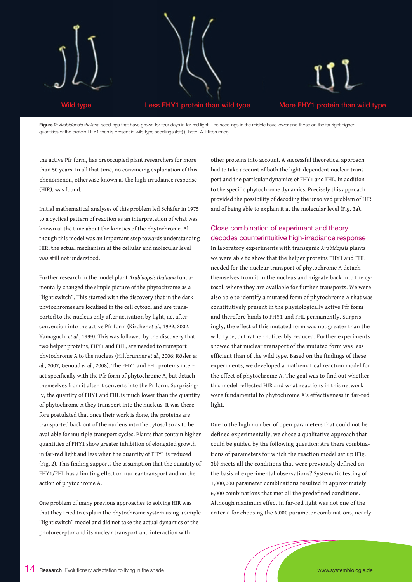

Figure 2: *Arabidopsis thaliana* seedlings that have grown for four days in far-red light. The seedlings in the middle have lower and those on the far right higher quantities of the protein FHY1 than is present in wild type seedlings (left) (Photo: A. Hiltbrunner).

the active Pfr form, has preoccupied plant researchers for more than 50 years. In all that time, no convincing explanation of this phenomenon, otherwise known as the high-irradiance response (HIR), was found.

Initial mathematical analyses of this problem led Schäfer in 1975 to a cyclical pattern of reaction as an interpretation of what was known at the time about the kinetics of the phytochrome. Although this model was an important step towards understanding HIR, the actual mechanism at the cellular and molecular level was still not understood.

Further research in the model plant *Arabidopsis thaliana* fundamentally changed the simple picture of the phytochrome as a "light switch". This started with the discovery that in the dark phytochromes are localised in the cell cytosol and are transported to the nucleus only after activation by light, i.e. after conversion into the active Pfr form (Kircher *et al.*, 1999, 2002; Yamaguchi *et al.*, 1999). This was followed by the discovery that two helper proteins, FHY1 and FHL, are needed to transport phytochrome A to the nucleus (Hiltbrunner *et al.*, 2006; Rösler *et al*., 2007; Genoud *et al.*, 2008). The FHY1 and FHL proteins interact specifically with the Pfr form of phytochrome A, but detach themselves from it after it converts into the Pr form. Surprisingly, the quantity of FHY1 and FHL is much lower than the quantity of phytochrome A they transport into the nucleus. It was therefore postulated that once their work is done, the proteins are transported back out of the nucleus into the cytosol so as to be available for multiple transport cycles. Plants that contain higher quantities of FHY1 show greater inhibition of elongated growth in far-red light and less when the quantity of FHY1 is reduced (Fig. 2). This finding supports the assumption that the quantity of FHY1/FHL has a limiting effect on nuclear transport and on the action of phytochrome A.

One problem of many previous approaches to solving HIR was that they tried to explain the phytochrome system using a simple "light switch" model and did not take the actual dynamics of the photoreceptor and its nuclear transport and interaction with

other proteins into account. A successful theoretical approach had to take account of both the light-dependent nuclear transport and the particular dynamics of FHY1 and FHL, in addition to the specific phytochrome dynamics. Precisely this approach provided the possibility of decoding the unsolved problem of HIR and of being able to explain it at the molecular level (Fig. 3a).

#### Close combination of experiment and theory decodes counterintuitive high-irradiance response

In laboratory experiments with transgenic *Arabidopsis* plants we were able to show that the helper proteins FHY1 and FHL needed for the nuclear transport of phytochrome A detach themselves from it in the nucleus and migrate back into the cytosol, where they are available for further transports. We were also able to identify a mutated form of phytochrome A that was constitutively present in the physiologically active Pfr form and therefore binds to FHY1 and FHL permanently. Surprisingly, the effect of this mutated form was not greater than the wild type, but rather noticeably reduced. Further experiments showed that nuclear transport of the mutated form was less efficient than of the wild type. Based on the findings of these experiments, we developed a mathematical reaction model for the effect of phytochrome A. The goal was to find out whether this model reflected HIR and what reactions in this network were fundamental to phytochrome A's effectiveness in far-red light.

Due to the high number of open parameters that could not be defined experimentally, we chose a qualitative approach that could be guided by the following question: Are there combinations of parameters for which the reaction model set up (Fig. 3b) meets all the conditions that were previously defined on the basis of experimental observations? Systematic testing of 1,000,000 parameter combinations resulted in approximately 6,000 combinations that met all the predefined conditions. Although maximum effect in far-red light was not one of the criteria for choosing the 6,000 parameter combinations, nearly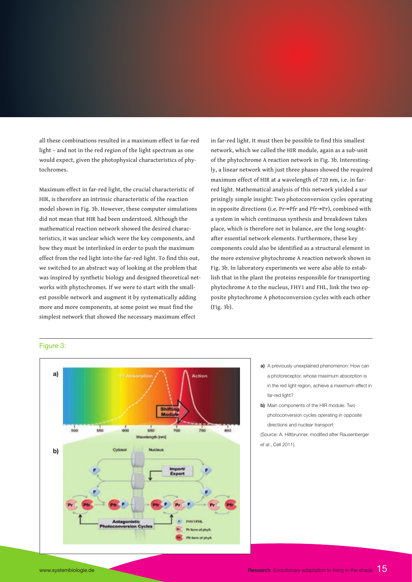all these combinations resulted in a maximum effect in far-red light – and not in the red region of the light spectrum as one would expect, given the photophysical characteristics of phytochromes.

Maximum effect in far-red light, the crucial characteristic of HIR, is therefore an intrinsic characteristic of the reaction model shown in Fig. 3b. However, these computer simulations did not mean that HIR had been understood. Although the mathematical reaction network showed the desired characteristics, it was unclear which were the key components, and how they must be interlinked in order to push the maximum effect from the red light into the far-red light. To find this out, we switched to an abstract way of looking at the problem that was inspired by synthetic biology and designed theoretical networks with phytochromes. If we were to start with the smallest possible network and augment it by systematically adding more and more components, at some point we must find the simplest network that showed the necessary maximum effect

in far-red light. It must then be possible to find this smallest network, which we called the HIR module, again as a sub-unit of the phytochrome A reaction network in Fig. 3b. Interestingly, a linear network with just three phases showed the required maximum effect of HIR at a wavelength of 720 nm, i.e. in farred light. Mathematical analysis of this network yielded a sur prisingly simple insight: Two photoconversion cycles operating in opposite directions (i.e. Pr→Pfr and Pfr→Pr), combined with a system in which continuous synthesis and breakdown takes place, which is therefore not in balance, are the long soughtafter essential network elements. Furthermore, these key components could also be identified as a structural element in the more extensive phytochrome A reaction network shown in Fig. 3b. In laboratory experiments we were also able to establish that in the plant the proteins responsible for transporting phytochrome A to the nucleus, FHY1 and FHL, link the two opposite phytochrome A photoconversion cycles with each other (Fig. 3b).

#### Figure 3:



- **a)** A previously unexplained phenomenon: How can a photoreceptor, whose maximum absorption is in the red light region, achieve a maximum effect in far-red light?
- **b)** Main components of the HIR module: Two photoconversion cycles operating in opposite directions and nuclear transport

(Source: A. Hiltbrunner, modified after Rausenberger *et al.*, Cell 2011).